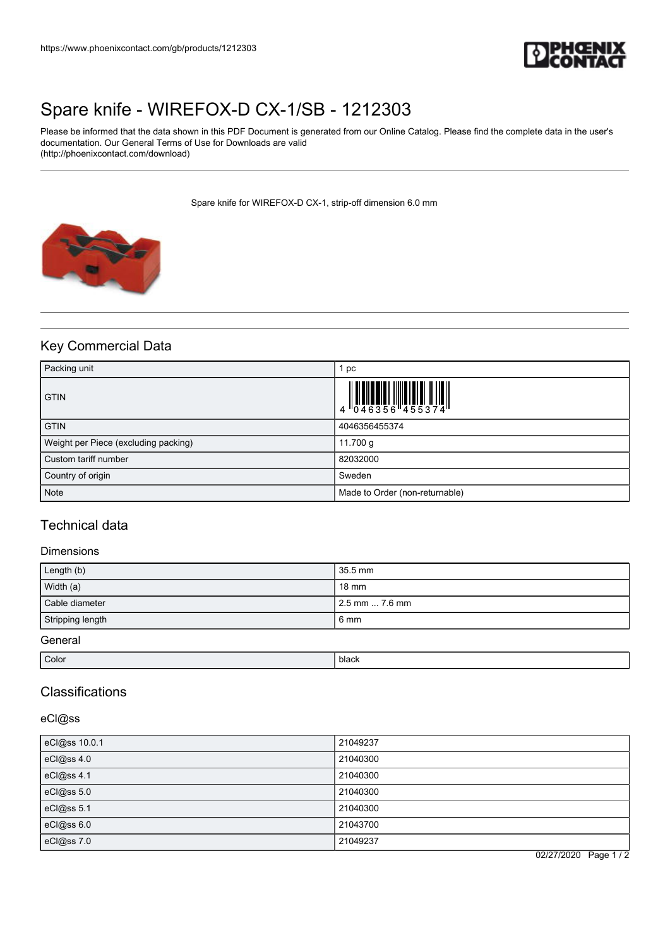

# [Spare knife - WIREFOX-D CX-1/SB - 1212303](https://www.phoenixcontact.com/gb/products/1212303)

Please be informed that the data shown in this PDF Document is generated from our Online Catalog. Please find the complete data in the user's documentation. Our General Terms of Use for Downloads are valid (http://phoenixcontact.com/download)

Spare knife for WIREFOX-D CX-1, strip-off dimension 6.0 mm



## Key Commercial Data

| Packing unit                         | pc                                                                                       |
|--------------------------------------|------------------------------------------------------------------------------------------|
| <b>GTIN</b>                          | $\begin{array}{c} 4 \ 0 \ 4 \ 0 \ 4 \ 6 \ 3 \ 5 \ 6 \ 4 \ 5 \ 5 \ 3 \ 7 \ 4 \end{array}$ |
| <b>GTIN</b>                          | 4046356455374                                                                            |
| Weight per Piece (excluding packing) | 11.700 g                                                                                 |
| Custom tariff number                 | 82032000                                                                                 |
| Country of origin                    | Sweden                                                                                   |
| <b>Note</b>                          | Made to Order (non-returnable)                                                           |

## Technical data

### Dimensions

| Length (b)       | 35.5 mm          |
|------------------|------------------|
| Width (a)        | 18 mm            |
| Cable diameter   | l 2.5 mm  7.6 mm |
| Stripping length | 6 mm             |
| General          |                  |

| Color | .<br>ріаск |
|-------|------------|
|       |            |

## Classifications

### eCl@ss

| eCl@ss 10.0.1 | 21049237 |
|---------------|----------|
| eCl@ss 4.0    | 21040300 |
| eCl@ss 4.1    | 21040300 |
| eCl@ss 5.0    | 21040300 |
| eCl@ss 5.1    | 21040300 |
| eCl@ss 6.0    | 21043700 |
| eCl@ss 7.0    | 21049237 |

02/27/2020 Page 1 / 2